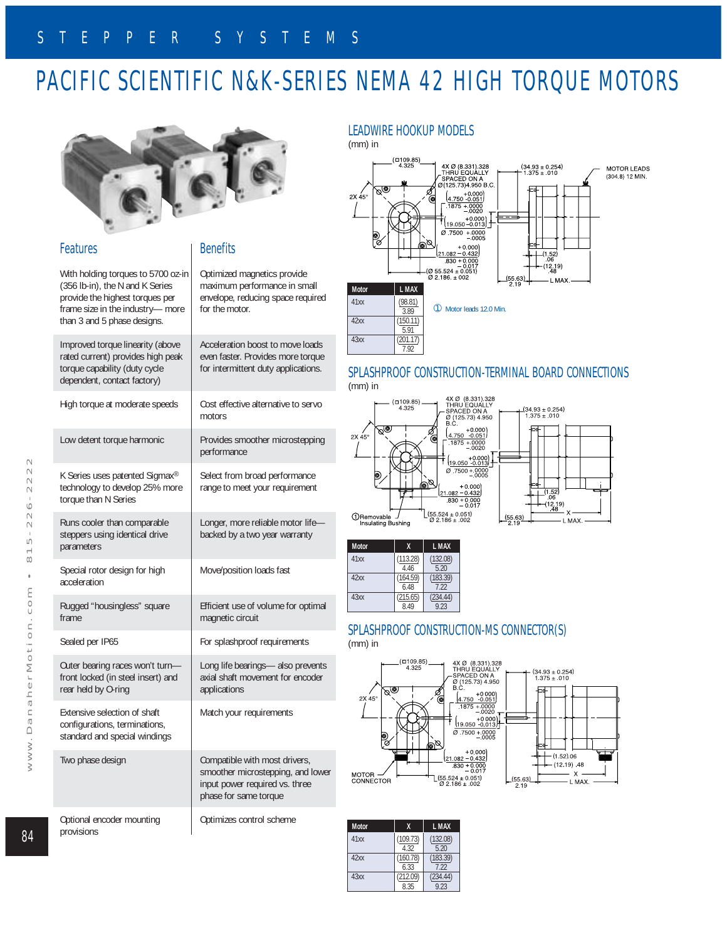# PACIFIC SCIENTIFIC N&K-SERIES NEMA 42 HIGH TORQUE MOTORS



### Features

## **Benefits**

 $\mathbf{L}$  $\circ$ 

 $\equiv$ 

 $\mathbbmss{}$  $\equiv$  $\sim$  $\qquad \qquad \Box$ 

 $\geq$ 

 $\geq$ 

 $\geq$ 

|  | With holding torques to 5700 oz-in<br>(356 lb-in), the N and K Series<br>provide the highest torques per<br>frame size in the industry-more<br>than 3 and 5 phase designs. | Optimized magnetics provide<br>maximum performance in small<br>envelope, reducing space required<br>for the motor.            |  |  |  |  |
|--|----------------------------------------------------------------------------------------------------------------------------------------------------------------------------|-------------------------------------------------------------------------------------------------------------------------------|--|--|--|--|
|  | Improved torque linearity (above<br>rated current) provides high peak<br>torque capability (duty cycle<br>dependent, contact factory)                                      | Acceleration boost to move loads<br>even faster. Provides more torque<br>for intermittent duty applications.                  |  |  |  |  |
|  | High torque at moderate speeds                                                                                                                                             | Cost effective alternative to servo<br>motors                                                                                 |  |  |  |  |
|  | Low detent torque harmonic                                                                                                                                                 | Provides smoother microstepping<br>performance                                                                                |  |  |  |  |
|  | K Series uses patented Sigmax®<br>technology to develop 25% more<br>torque than N Series                                                                                   | Select from broad performance<br>range to meet your requirement                                                               |  |  |  |  |
|  | Runs cooler than comparable<br>steppers using identical drive<br>parameters                                                                                                | Longer, more reliable motor life-<br>backed by a two year warranty                                                            |  |  |  |  |
|  | Special rotor design for high<br>acceleration                                                                                                                              | Move/position loads fast                                                                                                      |  |  |  |  |
|  | Rugged "housingless" square<br>frame                                                                                                                                       | Efficient use of volume for optimal<br>magnetic circuit                                                                       |  |  |  |  |
|  | Sealed per IP65                                                                                                                                                            | For splashproof requirements                                                                                                  |  |  |  |  |
|  | Outer bearing races won't turn-<br>front locked (in steel insert) and<br>rear held by O-ring                                                                               | Long life bearings- also prevents<br>axial shaft movement for encoder<br>applications                                         |  |  |  |  |
|  | Extensive selection of shaft<br>configurations, terminations,<br>standard and special windings                                                                             | Match your requirements                                                                                                       |  |  |  |  |
|  | Two phase design                                                                                                                                                           | Compatible with most drivers,<br>smoother microstepping, and lower<br>input power required vs. three<br>phase for same torque |  |  |  |  |
|  | Optional encoder mounting<br>provisions                                                                                                                                    | Optimizes control scheme                                                                                                      |  |  |  |  |

### LEADWIRE HOOKUP MODELS

(mm) in



#### SPLASHPROOF CONSTRUCTION-TERMINAL BOARD CONNECTIONS (mm) in



| <b>Motor</b> | X                | L MAX            |  |  |
|--------------|------------------|------------------|--|--|
| 41xx         | (113.28)<br>4.46 | (132.08)<br>520  |  |  |
| 42xx         | (164.59)<br>6.48 | (183.39)<br>722  |  |  |
| 43xx         | (215.65)<br>849  | (234.44)<br>9 23 |  |  |

## SPLASHPROOF CONSTRUCTION-MS CONNECTOR(S)



| <b>Motor</b> | X                | L MAX            |  |  |
|--------------|------------------|------------------|--|--|
| 41xx         | (109.73)<br>4.32 | (132.08)<br>520  |  |  |
| 42xx         | (160.78)<br>6.33 | (183.39)<br>722  |  |  |
| 43xx         | (212.09)<br>8.35 | (234.44)<br>9.23 |  |  |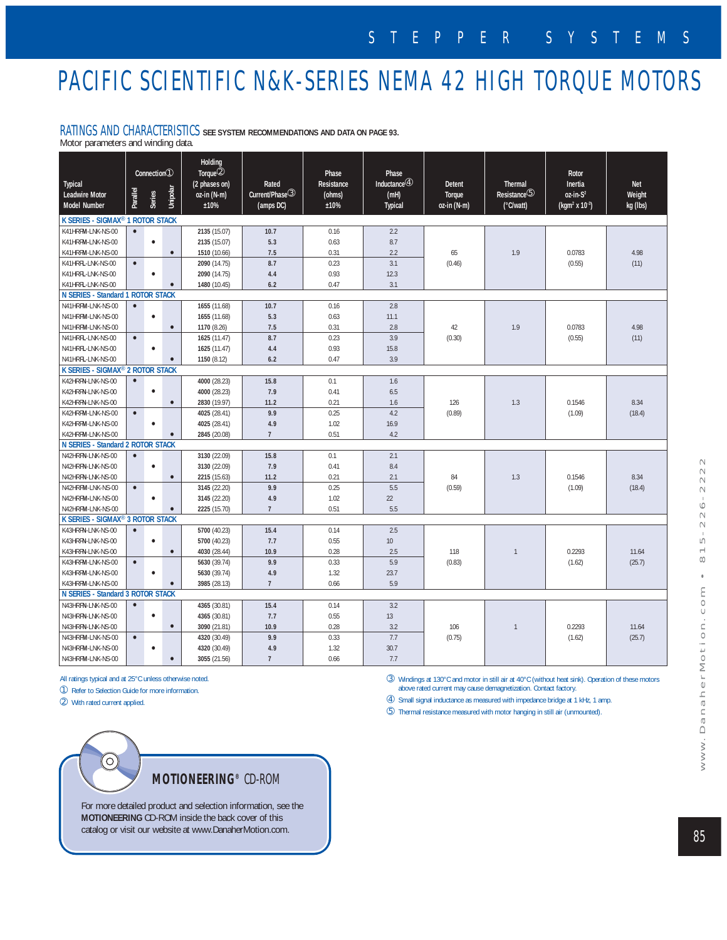# PACIFIC SCIENTIFIC N&K-SERIES NEMA 42 HIGH TORQUE MOTORS

### RATINGS AND CHARACTERISTICS **SEE SYSTEM RECOMMENDATIONS AND DATA ON PAGE 93.**

Motor parameters and winding data.

| Typical<br><b>Leadwire Motor</b><br>Model Number | Parallel  | $\overline{\text{Connection}}$<br><b>Series</b> | Unipolar  | Holding<br>Torque <sup>2</sup><br>(2 phases on)<br>oz-in (N-m)<br>±10% | Rated<br>Current/Phase <sup>3</sup><br>(amps DC) | Phase<br>Resistance<br>(ohms)<br>±10% | Phase<br>Inductance $@$<br>(mH)<br>Typical | <b>Detent</b><br>Torque<br>oz-in (N-m) | <b>Thermal</b><br>Resistance <sup>5</sup><br>(°C/watt) | Rotor<br>Inertia<br>$0z$ -in- $S^2$<br>(kgm <sup>2</sup> x 10 <sup>-3</sup> ) | <b>Net</b><br>Weight<br>kg (lbs) |
|--------------------------------------------------|-----------|-------------------------------------------------|-----------|------------------------------------------------------------------------|--------------------------------------------------|---------------------------------------|--------------------------------------------|----------------------------------------|--------------------------------------------------------|-------------------------------------------------------------------------------|----------------------------------|
| K SERIES - SIGMAX <sup>®</sup> 1 ROTOR STACK     |           |                                                 |           |                                                                        |                                                  |                                       |                                            |                                        |                                                        |                                                                               |                                  |
| K41HRFM-LNK-NS-00                                | $\bullet$ |                                                 |           | 2135 (15.07)                                                           | 10.7                                             | 0.16                                  | 2.2                                        |                                        |                                                        |                                                                               |                                  |
| K41HRFM-LNK-NS-00                                |           | $\bullet$                                       |           | 2135 (15.07)                                                           | 5.3                                              | 0.63                                  | 8.7                                        |                                        |                                                        |                                                                               |                                  |
| K41HRFM-LNK-NS-00                                |           |                                                 | $\bullet$ | 1510 (10.66)                                                           | 7.5                                              | 0.31                                  | 2.2                                        | 65                                     | 1.9                                                    | 0.0783                                                                        | 4.98                             |
| K41HRFL-LNK-NS-00                                | $\bullet$ |                                                 |           | 2090 (14.75)                                                           | 8.7                                              | 0.23                                  | 3.1                                        | (0.46)                                 |                                                        | (0.55)                                                                        | (11)                             |
| K41HRFL-LNK-NS-00                                |           | $\bullet$                                       |           | 2090 (14.75)                                                           | 4.4                                              | 0.93                                  | 12.3                                       |                                        |                                                        |                                                                               |                                  |
| K41HRFL-LNK-NS-00                                |           |                                                 | $\bullet$ | 1480 (10.45)                                                           | 6.2                                              | 0.47                                  | 3.1                                        |                                        |                                                        |                                                                               |                                  |
| N SERIES - Standard 1 ROTOR STACK                |           |                                                 |           |                                                                        |                                                  |                                       |                                            |                                        |                                                        |                                                                               |                                  |
| N41HRFM-LNK-NS-00                                | $\bullet$ |                                                 |           | 1655 (11.68)                                                           | 10.7                                             | 0.16                                  | 2.8                                        |                                        |                                                        |                                                                               |                                  |
| N41HRFM-LNK-NS-00                                |           | $\bullet$                                       |           | 1655 (11.68)                                                           | 5.3                                              | 0.63                                  | 11.1                                       |                                        |                                                        |                                                                               |                                  |
| N41HRFM-LNK-NS-00                                |           |                                                 | $\bullet$ | 1170 (8.26)                                                            | 7.5                                              | 0.31                                  | 2.8                                        | 42                                     | 1.9                                                    | 0.0783                                                                        | 4.98                             |
| N41HRFL-LNK-NS-00                                | $\bullet$ |                                                 |           | 1625 (11.47)                                                           | 8.7                                              | 0.23                                  | 3.9                                        | (0.30)                                 |                                                        | (0.55)                                                                        | (11)                             |
| N41HRFL-LNK-NS-00                                |           | $\bullet$                                       |           | 1625 (11.47)                                                           | 4.4                                              | 0.93                                  | 15.8                                       |                                        |                                                        |                                                                               |                                  |
| N41HRFL-LNK-NS-00                                |           |                                                 | r         | 1150 (8.12)                                                            | 6.2                                              | 0.47                                  | 3.9                                        |                                        |                                                        |                                                                               |                                  |
| K SERIES - SIGMAX® 2 ROTOR STACK                 |           |                                                 |           |                                                                        |                                                  |                                       |                                            |                                        |                                                        |                                                                               |                                  |
| K42HRFN-LNK-NS-00                                | $\bullet$ |                                                 |           | 4000 (28.23)                                                           | 15.8                                             | 0.1                                   | 1.6                                        |                                        |                                                        |                                                                               |                                  |
| K42HRFN-LNK-NS-00                                |           | $\bullet$                                       |           | 4000 (28.23)                                                           | 7.9                                              | 0.41                                  | 6.5                                        |                                        |                                                        |                                                                               |                                  |
| K42HRFN-LNK-NS-00                                |           |                                                 | $\bullet$ | 2830 (19.97)                                                           | 11.2                                             | 0.21                                  | 1.6                                        | 126                                    | 1.3                                                    | 0.1546                                                                        | 8.34                             |
| K42HRFM-LNK-NS-00                                | $\bullet$ |                                                 |           | 4025 (28.41)                                                           | 9.9                                              | 0.25                                  | 4.2                                        | (0.89)                                 |                                                        | (1.09)                                                                        | (18.4)                           |
| K42HRFM-LNK-NS-00                                |           | $\bullet$                                       |           | 4025 (28.41)                                                           | 4.9                                              | 1.02                                  | 16.9                                       |                                        |                                                        |                                                                               |                                  |
| K42HRFM-LNK-NS-00                                |           |                                                 | $\bullet$ | 2845 (20.08)                                                           | $7\phantom{.0}$                                  | 0.51                                  | 4.2                                        |                                        |                                                        |                                                                               |                                  |
| N SERIES - Standard 2 ROTOR STACK                |           |                                                 |           |                                                                        |                                                  |                                       |                                            |                                        |                                                        |                                                                               |                                  |
| N42HRFN-LNK-NS-00                                | $\bullet$ |                                                 |           | 3130 (22.09)                                                           | 15.8                                             | 0.1                                   | 2.1                                        |                                        |                                                        |                                                                               |                                  |
| N42HRFN-LNK-NS-00                                |           | $\bullet$                                       |           | 3130 (22.09)                                                           | 7.9                                              | 0.41                                  | 8.4                                        |                                        |                                                        |                                                                               |                                  |
| N42HRFN-LNK-NS-00                                |           |                                                 | $\bullet$ | 2215 (15.63)                                                           | 11.2                                             | 0.21                                  | 2.1                                        | 84                                     | 1.3                                                    | 0.1546                                                                        | 8.34                             |
| N42HRFM-LNK-NS-00                                | $\bullet$ |                                                 |           | 3145 (22.20)                                                           | 9.9                                              | 0.25                                  | 5.5                                        | (0.59)                                 |                                                        | (1.09)                                                                        | (18.4)                           |
| N42HRFM-LNK-NS-00                                |           | $\bullet$                                       |           | 3145 (22.20)                                                           | 4.9                                              | 1.02                                  | 22                                         |                                        |                                                        |                                                                               |                                  |
| N42HRFM-LNK-NS-00                                |           |                                                 |           | 2225 (15.70)                                                           | $7\overline{ }$                                  | 0.51                                  | 5.5                                        |                                        |                                                        |                                                                               |                                  |
| K SERIES - SIGMAX <sup>®</sup> 3 ROTOR STACK     |           |                                                 |           |                                                                        |                                                  |                                       |                                            |                                        |                                                        |                                                                               |                                  |
| K43HRFN-LNK-NS-00                                | $\bullet$ |                                                 |           | 5700 (40.23)                                                           | 15.4                                             | 0.14                                  | 2.5                                        |                                        |                                                        |                                                                               |                                  |
| K43HRFN-LNK-NS-00                                |           | $\bullet$                                       |           | 5700 (40.23)                                                           | 7.7                                              | 0.55                                  | 10                                         |                                        |                                                        |                                                                               |                                  |
| K43HRFN-LNK-NS-00                                |           |                                                 | $\bullet$ | 4030 (28.44)                                                           | 10.9                                             | 0.28                                  | 2.5                                        | 118                                    | $\overline{1}$                                         | 0.2293                                                                        | 11.64                            |
| K43HRFM-LNK-NS-00                                | $\bullet$ |                                                 |           | 5630 (39.74)                                                           | 9.9                                              | 0.33                                  | 5.9                                        | (0.83)                                 |                                                        | (1.62)                                                                        | (25.7)                           |
| K43HRFM-LNK-NS-00                                |           | $\bullet$                                       |           | 5630 (39.74)                                                           | 4.9                                              | 1.32                                  | 23.7                                       |                                        |                                                        |                                                                               |                                  |
| K43HRFM-LNK-NS-00                                |           |                                                 |           | 3985 (28.13)                                                           | $7\overline{ }$                                  | 0.66                                  | 5.9                                        |                                        |                                                        |                                                                               |                                  |
| N SERIES - Standard 3 ROTOR STACK                |           |                                                 |           |                                                                        |                                                  |                                       |                                            |                                        |                                                        |                                                                               |                                  |
| N43HRFN-LNK-NS-00                                | $\bullet$ |                                                 |           | 4365 (30.81)                                                           | 15.4                                             | 0.14                                  | 3.2                                        |                                        |                                                        |                                                                               |                                  |
| N43HRFN-LNK-NS-00                                |           | $\bullet$                                       |           | 4365 (30.81)                                                           | 7.7                                              | 0.55                                  | 13                                         |                                        |                                                        |                                                                               |                                  |
| N43HRFN-LNK-NS-00                                |           |                                                 | $\bullet$ | 3090 (21.81)                                                           | 10.9                                             | 0.28                                  | 3.2                                        | 106                                    | $\mathbf{1}$                                           | 0.2293                                                                        | 11.64                            |
| N43HRFM-LNK-NS-00                                | $\bullet$ |                                                 |           | 4320 (30.49)                                                           | 9.9                                              | 0.33                                  | 7.7                                        | (0.75)                                 |                                                        | (1.62)                                                                        | (25.7)                           |
| N43HRFM-LNK-NS-00                                |           | $\bullet$                                       |           | 4320 (30.49)                                                           | 4.9                                              | 1.32                                  | 30.7                                       |                                        |                                                        |                                                                               |                                  |
| N43HRFM-LNK-NS-00                                |           |                                                 | $\bullet$ | 3055 (21.56)                                                           | $\overline{7}$                                   | 0.66                                  | 7.7                                        |                                        |                                                        |                                                                               |                                  |

All ratings typical and at 25°C unless otherwise noted.

➀ Refer to Selection Guide for more information.

➁ With rated current applied.

➂ Windings at 130°C and motor in still air at 40°C (without heat sink). Operation of these motors above rated current may cause demagnetization. Contact factory.

➃ Small signal inductance as measured with impedance bridge at 1 kHz, 1 amp.

➄ Thermal resistance measured with motor hanging in still air (unmounted).



For more detailed product and selection information, see the **MOTIONEERING** CD-ROM inside the back cover of this catalog or visit our website at www.DanaherMotion.com.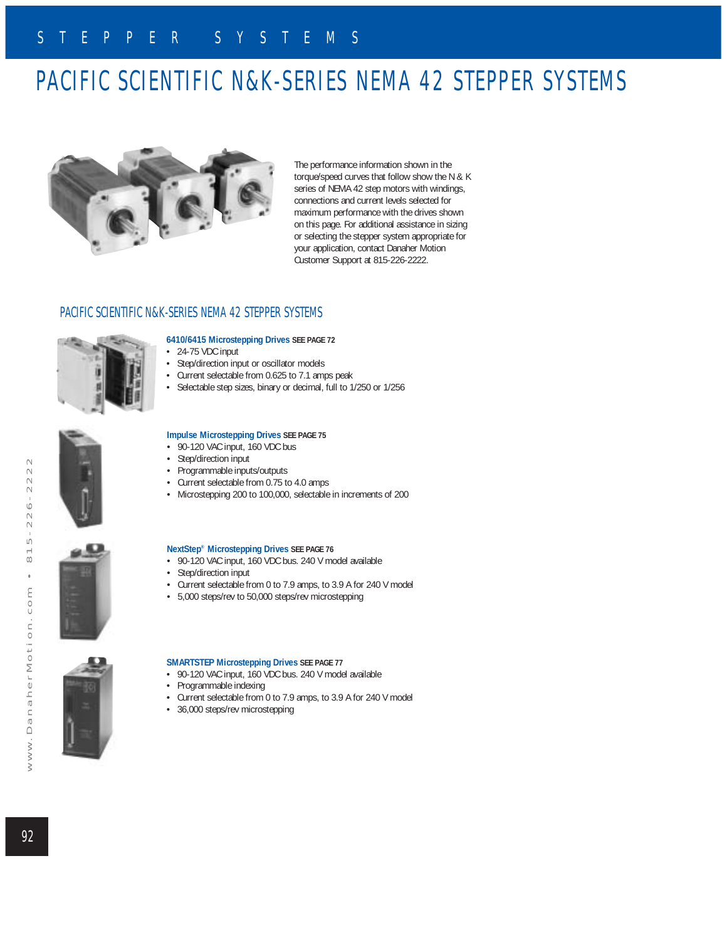# PACIFIC SCIENTIFIC N&K-SERIES NEMA 42 STEPPER SYSTEMS



The performance information shown in the torque/speed curves that follow show the N & K series of NEMA 42 step motors with windings, connections and current levels selected for maximum performance with the drives shown on this page. For additional assistance in sizing or selecting the stepper system appropriate for your application, contact Danaher Motion Customer Support at 815-226-2222.

### PACIFIC SCIENTIFIC N&K-SERIES NEMA 42 STEPPER SYSTEMS



#### **6410/6415 Microstepping Drives SEE PAGE 72**

- 24-75 VDC input
- Step/direction input or oscillator models
- Current selectable from 0.625 to 7.1 amps peak
- Selectable step sizes, binary or decimal, full to 1/250 or 1/256



### **Impulse Microstepping Drives SEE PAGE 75**

- 90-120 VAC input, 160 VDC bus
- Step/direction input
- Programmable inputs/outputs
- Current selectable from 0.75 to 4.0 amps
- Microstepping 200 to 100,000, selectable in increments of 200



#### **NextStep® Microstepping Drives SEE PAGE 76** • 90-120 VAC input, 160 VDC bus. 240 V model available • Step/direction input

- Current selectable from 0 to 7.9 amps, to 3.9 A for 240 V model
- 5,000 steps/rev to 50,000 steps/rev microstepping



#### **SMARTSTEP Microstepping Drives SEE PAGE 77**

- 90-120 VAC input, 160 VDC bus. 240 V model available
- Programmable indexing
- Current selectable from 0 to 7.9 amps, to 3.9 A for 240 V model
- 36,000 steps/rev microstepping